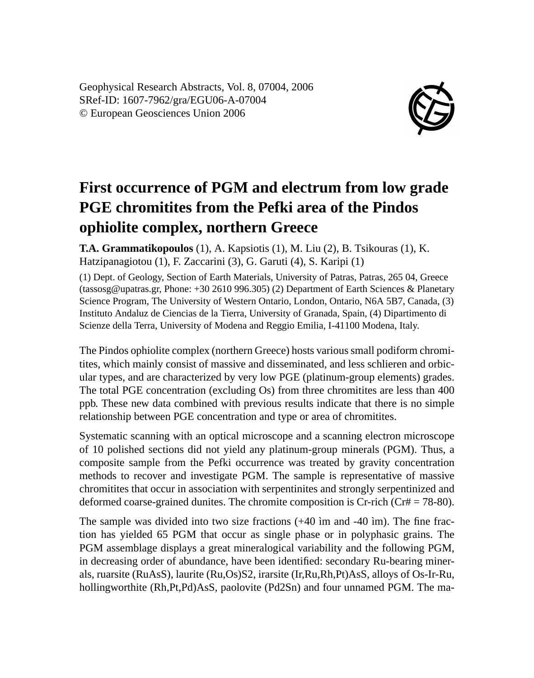Geophysical Research Abstracts, Vol. 8, 07004, 2006 SRef-ID: 1607-7962/gra/EGU06-A-07004 © European Geosciences Union 2006



## **First occurrence of PGM and electrum from low grade PGE chromitites from the Pefki area of the Pindos ophiolite complex, northern Greece**

**T.A. Grammatikopoulos** (1), A. Kapsiotis (1), M. Liu (2), B. Tsikouras (1), K. Hatzipanagiotou (1), F. Zaccarini (3), G. Garuti (4), S. Karipi (1)

(1) Dept. of Geology, Section of Earth Materials, University of Patras, Patras, 265 04, Greece (tassosg@upatras.gr, Phone: +30 2610 996.305) (2) Department of Earth Sciences & Planetary Science Program, The University of Western Ontario, London, Ontario, N6A 5B7, Canada, (3) Instituto Andaluz de Ciencias de la Tierra, University of Granada, Spain, (4) Dipartimento di Scienze della Terra, University of Modena and Reggio Emilia, I-41100 Modena, Italy.

The Pindos ophiolite complex (northern Greece) hosts various small podiform chromitites, which mainly consist of massive and disseminated, and less schlieren and orbicular types, and are characterized by very low PGE (platinum-group elements) grades. The total PGE concentration (excluding Os) from three chromitites are less than 400 ppb. These new data combined with previous results indicate that there is no simple relationship between PGE concentration and type or area of chromitites.

Systematic scanning with an optical microscope and a scanning electron microscope of 10 polished sections did not yield any platinum-group minerals (PGM). Thus, a composite sample from the Pefki occurrence was treated by gravity concentration methods to recover and investigate PGM. The sample is representative of massive chromitites that occur in association with serpentinites and strongly serpentinized and deformed coarse-grained dunites. The chromite composition is Cr-rich (Cr# = 78-80).

The sample was divided into two size fractions (+40 ìm and -40 ìm). The fine fraction has yielded 65 PGM that occur as single phase or in polyphasic grains. The PGM assemblage displays a great mineralogical variability and the following PGM, in decreasing order of abundance, have been identified: secondary Ru-bearing minerals, ruarsite (RuAsS), laurite (Ru,Os)S2, irarsite (Ir,Ru,Rh,Pt)AsS, alloys of Os-Ir-Ru, hollingworthite (Rh,Pt,Pd)AsS, paolovite (Pd2Sn) and four unnamed PGM. The ma